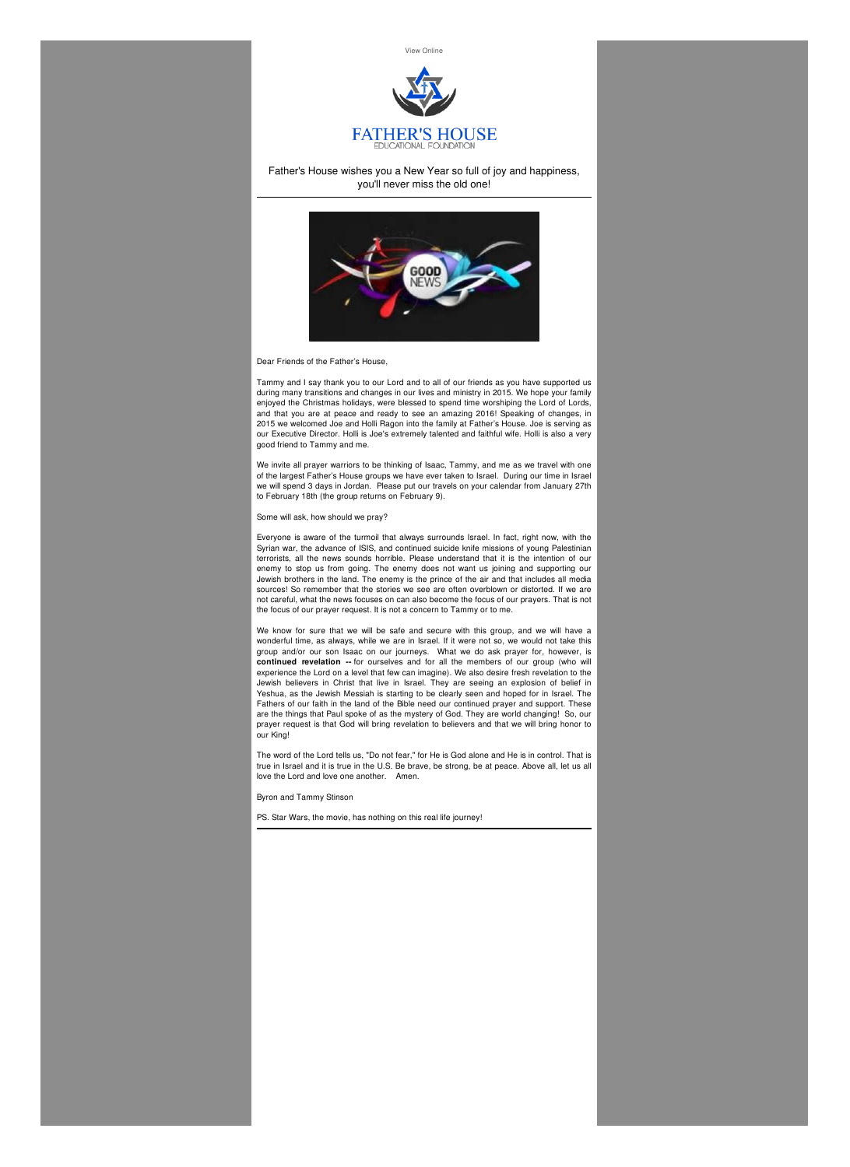



## Father's House wishes you a New Year so full of joy and happiness, you'll never miss the old one!



Dear Friends of the Father's House,

Tammy and I say thank you to our Lord and to all of our friends as you have supported us during many transitions and changes in our lives and ministry in 2015. We hope your family enjoyed the Christmas holidays, were blessed to spend time worshiping the Lord of Lords, and that you are at peace and ready to see an amazing 2016! Speaking of changes, in 2015 we welcomed Joe and Holli Ragon into the family at Father's House. Joe is serving as our Executive Director. Holli is Joe's extremely talented and faithful wife. Holli is also a very good friend to Tammy and me.

We invite all prayer warriors to be thinking of Isaac, Tammy, and me as we travel with one of the largest Father's House groups we have ever taken to Israel. During our time in Israel we will spend 3 days in Jordan. Please put our travels on your calendar from January 27th to February 18th (the group returns on February 9).

Some will ask, how should we pray?

Everyone is aware of the turmoil that always surrounds Israel. In fact, right now, with the Syrian war, the advance of ISIS, and continued suicide knife missions of young Palestinian terrorists, all the news sounds horrible. Please understand that it is the intention of our enemy to stop us from going. The enemy does not want us joining and supporting our Jewish brothers in the land. The enemy is the prince of the air and that includes all media sources! So remember that the stories we see are often overblown or distorted. If we are not careful, what the news focuses on can also become the focus of our prayers. That is not the focus of our prayer request. It is not a concern to Tammy or to me.

We know for sure that we will be safe and secure with this group, and we will have a wonderful time, as always, while we are in Israel. If it were not so, we would not take this group and/or our son Isaac on our journeys. What we do ask prayer for, however, is **continued revelation --** for ourselves and for all the members of our group (who will experience the Lord on a level that few can imagine). We also desire fresh revelation to the Jewish believers in Christ that live in Israel. They are seeing an explosion of belief in Yeshua, as the Jewish Messiah is starting to be clearly seen and hoped for in Israel. The Fathers of our faith in the land of the Bible need our continued prayer and support. These are the things that Paul spoke of as the mystery of God. They are world changing! So, our prayer request is that God will bring revelation to believers and that we will bring honor to our King!

The word of the Lord tells us, "Do not fear," for He is God alone and He is in control. That is true in Israel and it is true in the U.S. Be brave, be strong, be at peace. Above all, let us all love the Lord and love one another. Amen.

Byron and Tammy Stinson

PS. Star Wars, the movie, has nothing on this real life journey!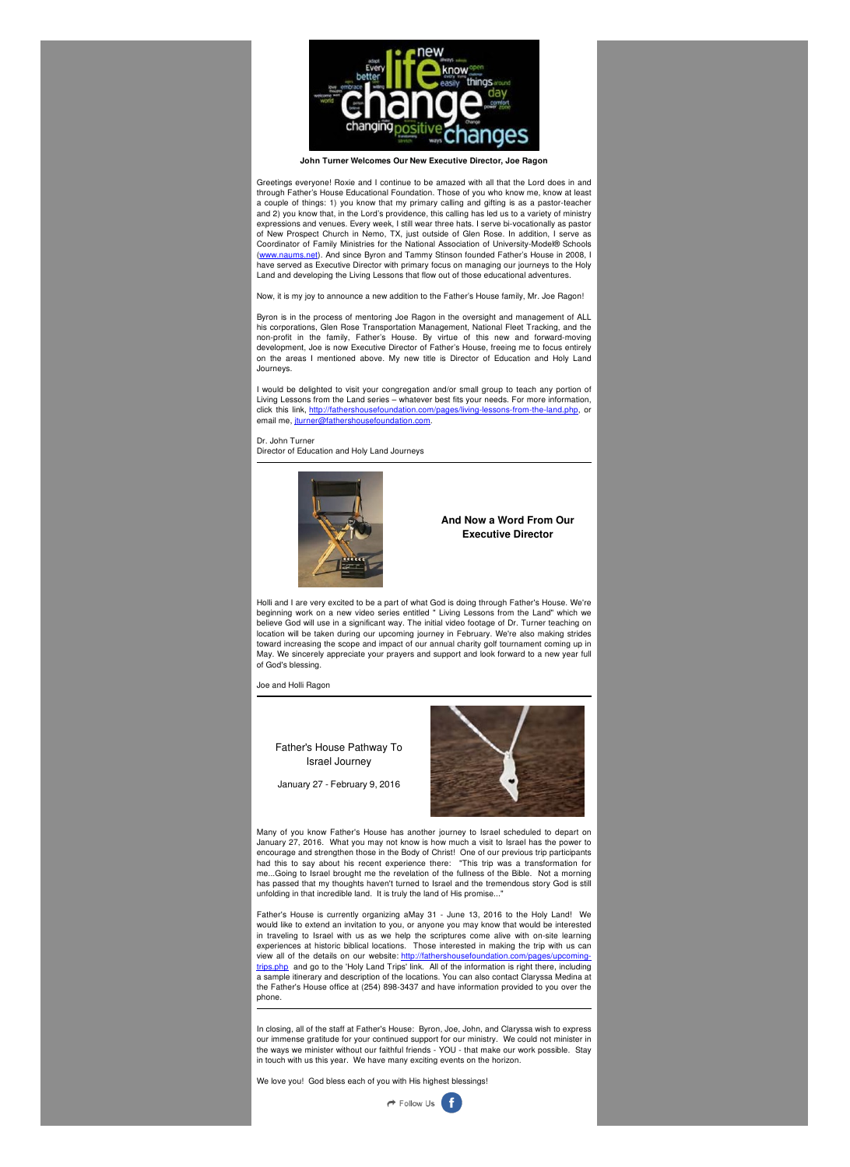

**John Turner Welcomes Our New Executive Director, Joe Ragon**

Greetings everyone! Roxie and I continue to be amazed with all that the Lord does in and through Father's House Educational Foundation. Those of you who know me, know at least a couple of things: 1) you know that my primary calling and gifting is as a pastor-teacher and 2) you know that, in the Lord's providence, this calling has led us to a variety of ministry expressions and venues. Every week, I still wear three hats. I serve bi-vocationally as pastor of New Prospect Church in Nemo, TX, just outside of Glen Rose. In addition, I serve as Coordinator of Family Ministries for the National Association of University-Model® Schools [\(www.naums.net](http://www.naums.net/)). And since Byron and Tammy Stinson founded Father's House in 2008, I have served as Executive Director with primary focus on managing our journeys to the Holy Land and developing the Living Lessons that flow out of those educational adventures.

I would be delighted to visit your congregation and/or small group to teach any portion of Living Lessons from the Land series – whatever best fits your needs. For more information, click this link, <http://fathershousefoundation.com/pages/living-lessons-from-the-land.php>, or email me, jurner@fathershousefoundation.com.

Now, it is my joy to announce a new addition to the Father's House family, Mr. Joe Ragon!

Byron is in the process of mentoring Joe Ragon in the oversight and management of ALL his corporations, Glen Rose Transportation Management, National Fleet Tracking, and the non-profit in the family, Father's House. By virtue of this new and forward-moving development, Joe is now Executive Director of Father's House, freeing me to focus entirely on the areas I mentioned above. My new title is Director of Education and Holy Land Journeys.

Dr. John Turner Director of Education and Holy Land Journeys



Holli and I are very excited to be a part of what God is doing through Father's House. We're beginning work on a new video series entitled " Living Lessons from the Land" which we believe God will use in a significant way. The initial video footage of Dr. Turner teaching on location will be taken during our upcoming journey in February. We're also making strides toward increasing the scope and impact of our annual charity golf tournament coming up in May. We sincerely appreciate your prayers and support and look forward to a new year full of God's blessing.

## Joe and Holli Ragon

Many of you know Father's House has another journey to Israel scheduled to depart on January 27, 2016. What you may not know is how much a visit to Israel has the power to encourage and strengthen those in the Body of Christ! One of our previous trip participants had this to say about his recent experience there: "This trip was a transformation for me...Going to Israel brought me the revelation of the fullness of the Bible. Not a morning has passed that my thoughts haven't turned to Israel and the tremendous story God is still unfolding in that incredible land. It is truly the land of His promise..."

Father's House is currently organizing aMay 31 - June 13, 2016 to the Holy Land! We would like to extend an invitation to you, or anyone you may know that would be interested in traveling to Israel with us as we help the scriptures come alive with on-site learning experiences at historic biblical locations. Those interested in making the trip with us can view all of the details on our website: [http://fathershousefoundation.com/pages/upcoming](http://fathershousefoundation.com/pages/upcoming-trips.php)trips.php and go to the 'Holy Land Trips' link. All of the information is right there, including a sample itinerary and description of the locations. You can also contact Claryssa Medina at the Father's House office at (254) 898-3437 and have information provided to you over the phone.

In closing, all of the staff at Father's House: Byron, Joe, John, and Claryssa wish to express our immense gratitude for your continued support for our ministry. We could not minister in the ways we minister without our faithful friends - YOU - that make our work possible. Stay in touch with us this year. We have many exciting events on the horizon.

We love you! God bless each of you with His highest blessings!



**And Now a Word From Our Executive Director**

Father's House Pathway To Israel Journey

January 27 - February 9, 2016